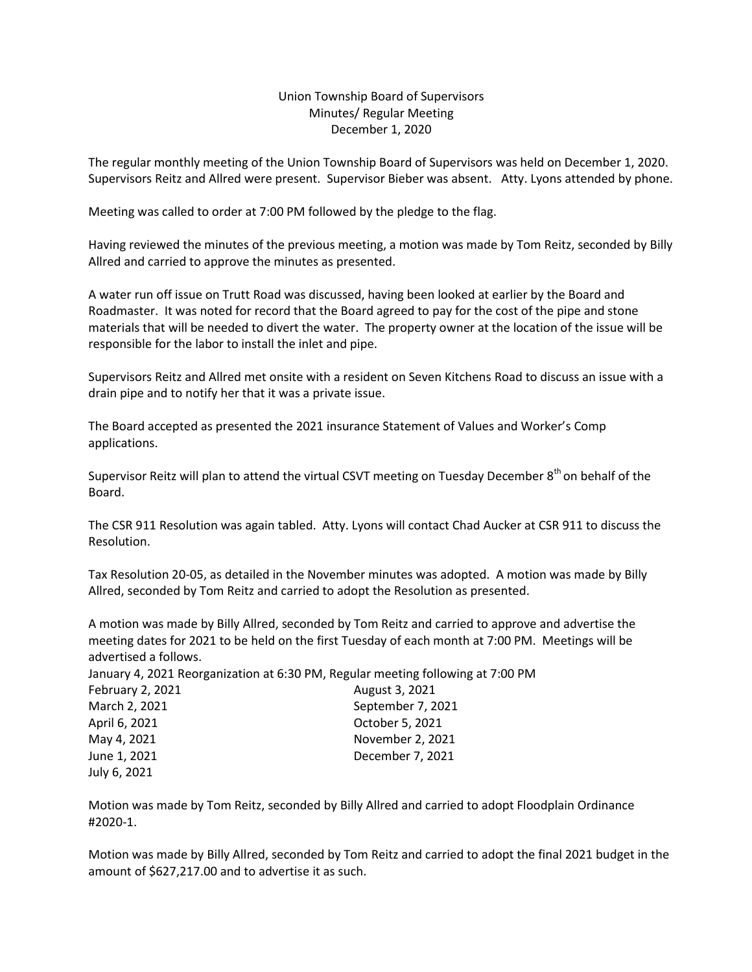## Union Township Board of Supervisors Minutes/ Regular Meeting December 1, 2020

The regular monthly meeting of the Union Township Board of Supervisors was held on December 1, 2020. Supervisors Reitz and Allred were present. Supervisor Bieber was absent. Atty. Lyons attended by phone.

Meeting was called to order at 7:00 PM followed by the pledge to the flag.

Having reviewed the minutes of the previous meeting, a motion was made by Tom Reitz, seconded by Billy Allred and carried to approve the minutes as presented.

A water run off issue on Trutt Road was discussed, having been looked at earlier by the Board and Roadmaster. It was noted for record that the Board agreed to pay for the cost of the pipe and stone materials that will be needed to divert the water. The property owner at the location of the issue will be responsible for the labor to install the inlet and pipe.

Supervisors Reitz and Allred met onsite with a resident on Seven Kitchens Road to discuss an issue with a drain pipe and to notify her that it was a private issue.

The Board accepted as presented the 2021 insurance Statement of Values and Worker's Comp applications.

Supervisor Reitz will plan to attend the virtual CSVT meeting on Tuesday December 8<sup>th</sup> on behalf of the Board.

The CSR 911 Resolution was again tabled. Atty. Lyons will contact Chad Aucker at CSR 911 to discuss the Resolution.

Tax Resolution 20-05, as detailed in the November minutes was adopted. A motion was made by Billy Allred, seconded by Tom Reitz and carried to adopt the Resolution as presented.

A motion was made by Billy Allred, seconded by Tom Reitz and carried to approve and advertise the meeting dates for 2021 to be held on the first Tuesday of each month at 7:00 PM. Meetings will be advertised a follows.

| January 4, 2021 Reorganization at 6:30 PM, Regular meeting following at 7:00 PM |                   |
|---------------------------------------------------------------------------------|-------------------|
| February 2, 2021                                                                | August 3, 2021    |
| March 2, 2021                                                                   | September 7, 2021 |
| April 6, 2021                                                                   | October 5, 2021   |
| May 4, 2021                                                                     | November 2, 2021  |
| June 1, 2021                                                                    | December 7, 2021  |
| July 6, 2021                                                                    |                   |

Motion was made by Tom Reitz, seconded by Billy Allred and carried to adopt Floodplain Ordinance #2020-1.

Motion was made by Billy Allred, seconded by Tom Reitz and carried to adopt the final 2021 budget in the amount of \$627,217.00 and to advertise it as such.